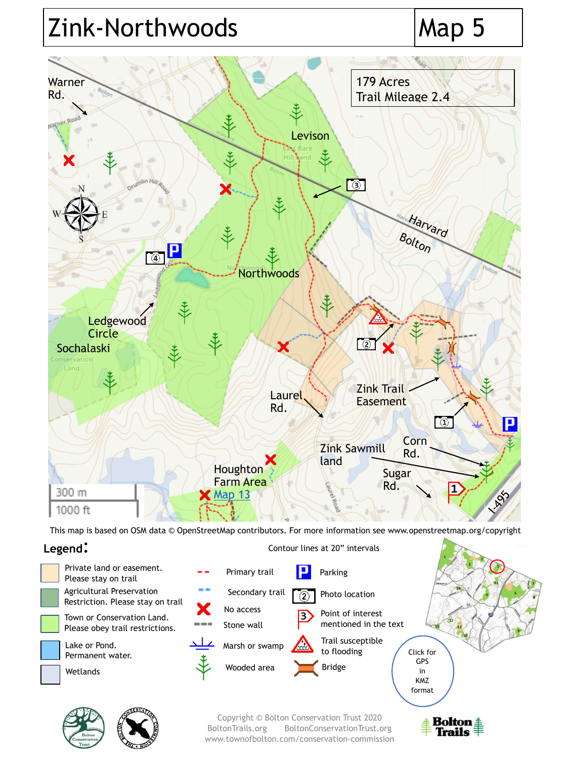# Zink-Northwoods Map 5



This map is based on OSM data © OpenStreetMap contributors. For more information see www.openstreetmap.org/copyright

# **Legend**: Contour lines at 20" intervals







Copyright © Bolton Conservation Trust 2020 BoltonTrails.org BoltonConservationTrust.org www.townofbolton.com/conservation-commission

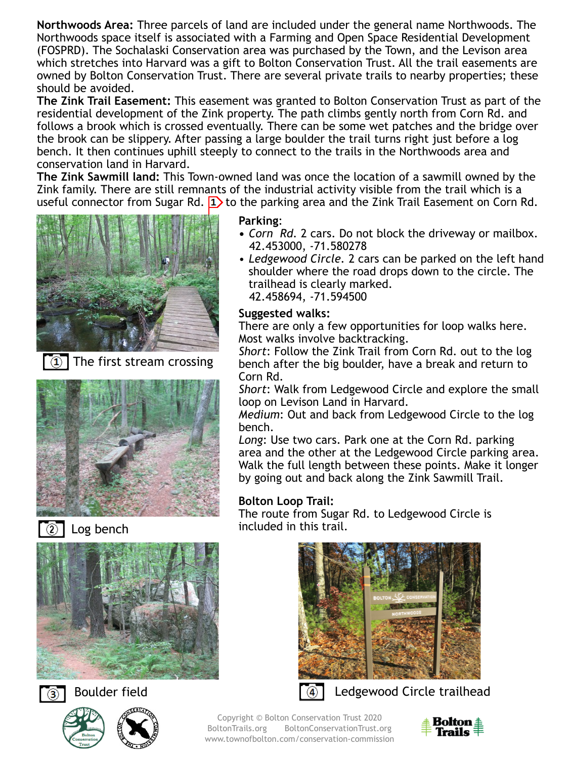**Northwoods Area:** Three parcels of land are included under the general name Northwoods. The Northwoods space itself is associated with a Farming and Open Space Residential Development (FOSPRD). The Sochalaski Conservation area was purchased by the Town, and the Levison area which stretches into Harvard was a gift to Bolton Conservation Trust. All the trail easements are owned by Bolton Conservation Trust. There are several private trails to nearby properties; these should be avoided.

**The Zink Trail Easement:** This easement was granted to Bolton Conservation Trust as part of the residential development of the Zink property. The path climbs gently north from Corn Rd. and follows a brook which is crossed eventually. There can be some wet patches and the bridge over the brook can be slippery. After passing a large boulder the trail turns right just before a log bench. It then continues uphill steeply to connect to the trails in the Northwoods area and conservation land in Harvard.

**The Zink Sawmill land:** This Town-owned land was once the location of a sawmill owned by the Zink family. There are still remnants of the industrial activity visible from the trail which is a useful connector from Sugar Rd.  $\boxed{1}$  to the parking area and the Zink Trail Easement on Corn Rd.



The first stream crossing





Log bench









**Parking**:

- **•** *Corn Rd.* 2 cars. Do not block the driveway or mailbox. 42.453000, -71.580278
- *Ledgewood Circle.* 2 cars can be parked on the left hand shoulder where the road drops down to the circle. The trailhead is clearly marked. 42.458694, -71.594500

### **Suggested walks:**

There are only a few opportunities for loop walks here. Most walks involve backtracking.

*Short*: Follow the Zink Trail from Corn Rd. out to the log bench after the big boulder, have a break and return to Corn Rd.

*Short*: Walk from Ledgewood Circle and explore the small loop on Levison Land in Harvard.

*Medium*: Out and back from Ledgewood Circle to the log bench.

*Long*: Use two cars. Park one at the Corn Rd. parking area and the other at the Ledgewood Circle parking area. Walk the full length between these points. Make it longer by going out and back along the Zink Sawmill Trail.

### **Bolton Loop Trail:**

The route from Sugar Rd. to Ledgewood Circle is included in this trail.





Boulder field  $\sqrt{a}$  Ledgewood Circle trailhead

Copyright © Bolton Conservation Trust 2020 BoltonTrails.org BoltonConservationTrust.org www.townofbolton.com/conservation-commission